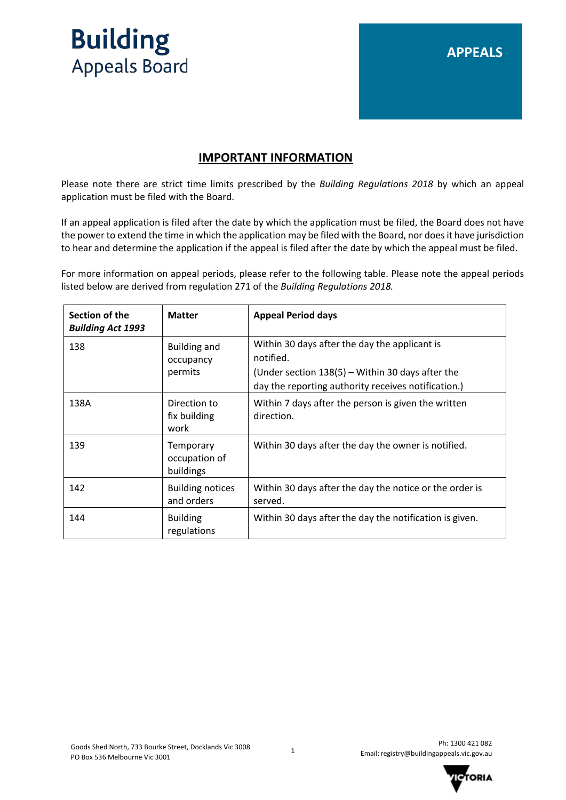

# **APPEALS**

### **IMPORTANT INFORMATION**

Please note there are strict time limits prescribed by the *Building Regulations 2018* by which an appeal application must be filed with the Board.

If an appeal application is filed after the date by which the application must be filed, the Board does not have the power to extend the time in which the application may be filed with the Board, nor does it have jurisdiction to hear and determine the application if the appeal is filed after the date by which the appeal must be filed.

For more information on appeal periods, please refer to the following table. Please note the appeal periods listed below are derived from regulation 271 of the *Building Regulations 2018.*

| Section of the<br><b>Building Act 1993</b> | <b>Matter</b>                               | <b>Appeal Period days</b>                                                                                                                                               |
|--------------------------------------------|---------------------------------------------|-------------------------------------------------------------------------------------------------------------------------------------------------------------------------|
| 138                                        | <b>Building and</b><br>occupancy<br>permits | Within 30 days after the day the applicant is<br>notified.<br>(Under section $138(5)$ – Within 30 days after the<br>day the reporting authority receives notification.) |
| 138A                                       | Direction to<br>fix building<br>work        | Within 7 days after the person is given the written<br>direction.                                                                                                       |
| 139                                        | Temporary<br>occupation of<br>buildings     | Within 30 days after the day the owner is notified.                                                                                                                     |
| 142                                        | <b>Building notices</b><br>and orders       | Within 30 days after the day the notice or the order is<br>served.                                                                                                      |
| 144                                        | <b>Building</b><br>regulations              | Within 30 days after the day the notification is given.                                                                                                                 |

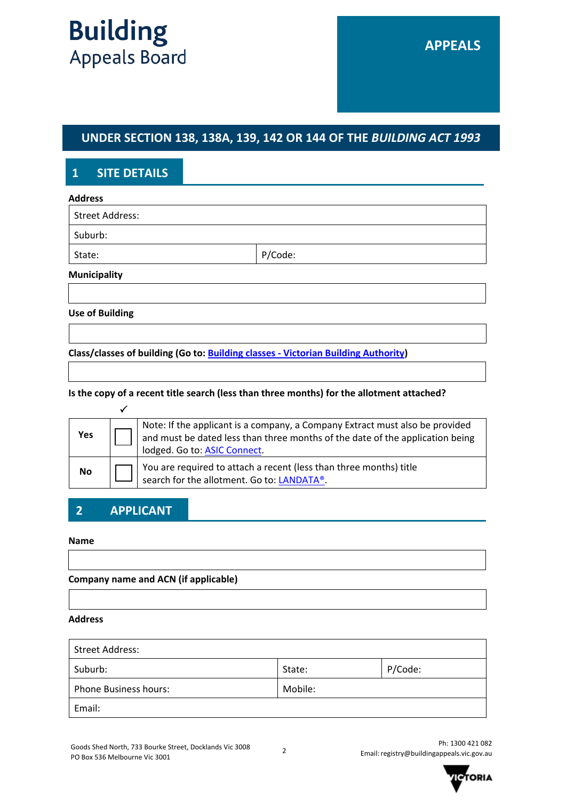# **UNDER SECTION 138, 138A, 139, 142 OR 144 OF THE** *BUILDING ACT 1993*

# **1 SITE DETAILS**

| <b>Address</b>         |         |  |
|------------------------|---------|--|
| <b>Street Address:</b> |         |  |
| Suburb:                |         |  |
| State:                 | P/Code: |  |
| <b>Municipality</b>    |         |  |

**Use of Building**

**Class/classes of building (Go to: [Building classes - Victorian Building Authority\)](https://www.vba.vic.gov.au/building/regulatory-framework/building-classes)** 

**Is the copy of a recent title search (less than three months) for the allotment attached?**

| Yes | Note: If the applicant is a company, a Company Extract must also be provided<br>and must be dated less than three months of the date of the application being<br>lodged. Go to: ASIC Connect. |
|-----|-----------------------------------------------------------------------------------------------------------------------------------------------------------------------------------------------|
| No  | You are required to attach a recent (less than three months) title search for the allotment. Go to: LANDATA®.                                                                                 |

# **2 APPLICANT**

### **Name**

**Company name and ACN (if applicable)**

### **Address**

| Street Address:              |         |         |
|------------------------------|---------|---------|
| Suburb:                      | State:  | P/Code: |
| <b>Phone Business hours:</b> | Mobile: |         |
| Email:                       |         |         |

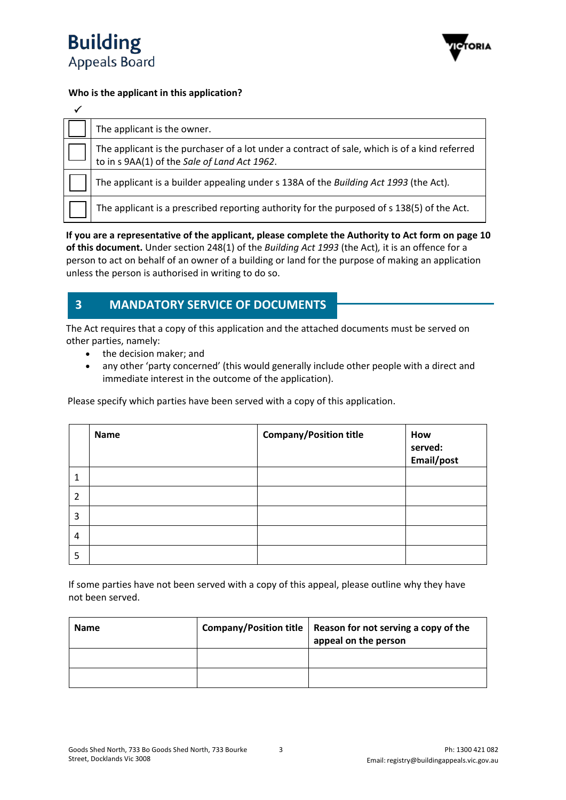



### **Who is the applicant in this application?**

| The applicant is the owner.                                                                                                                   |
|-----------------------------------------------------------------------------------------------------------------------------------------------|
| The applicant is the purchaser of a lot under a contract of sale, which is of a kind referred<br>to in s 9AA(1) of the Sale of Land Act 1962. |
| The applicant is a builder appealing under s 138A of the Building Act 1993 (the Act).                                                         |
| The applicant is a prescribed reporting authority for the purposed of s 138(5) of the Act.                                                    |

**If you are a representative of the applicant, please complete the Authority to Act form on page 10 of this document.** Under section 248(1) of the *Building Act 1993* (the Act)*,* it is an offence for a person to act on behalf of an owner of a building or land for the purpose of making an application unless the person is authorised in writing to do so.

# **3 MANDATORY SERVICE OF DOCUMENTS**

The Act requires that a copy of this application and the attached documents must be served on other parties, namely:

- the decision maker; and
- any other 'party concerned' (this would generally include other people with a direct and immediate interest in the outcome of the application).

Please specify which parties have been served with a copy of this application.

|                | <b>Name</b> | <b>Company/Position title</b> | How<br>served:<br>Email/post |
|----------------|-------------|-------------------------------|------------------------------|
| 1              |             |                               |                              |
| $\overline{2}$ |             |                               |                              |
| 3              |             |                               |                              |
| 4              |             |                               |                              |
| 5              |             |                               |                              |

If some parties have not been served with a copy of this appeal, please outline why they have not been served.

| <b>Name</b> | <b>Company/Position title</b> | Reason for not serving a copy of the<br>appeal on the person |
|-------------|-------------------------------|--------------------------------------------------------------|
|             |                               |                                                              |
|             |                               |                                                              |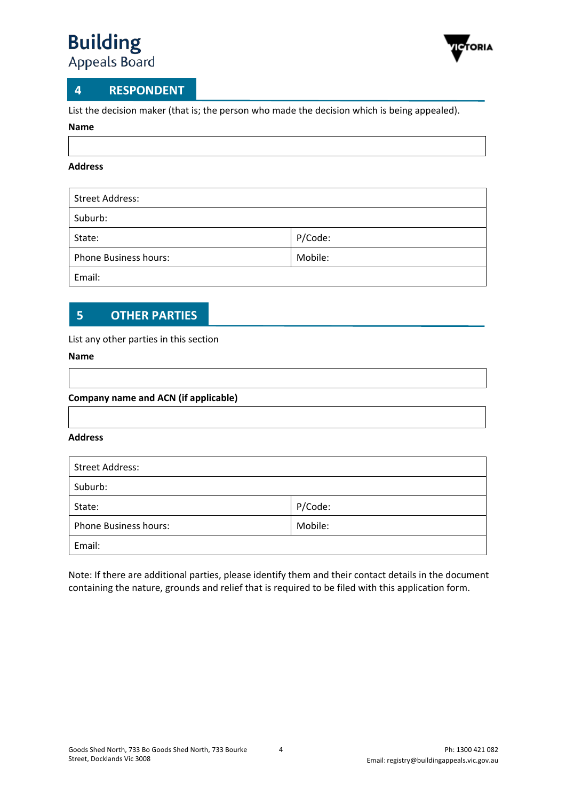

## **4 RESPONDENT**

List the decision maker (that is; the person who made the decision which is being appealed).

#### **Name**

### **Address**

| <b>Street Address:</b>       |         |
|------------------------------|---------|
| Suburb:                      |         |
| State:                       | P/Code: |
| <b>Phone Business hours:</b> | Mobile: |
| Email:                       |         |

# **5 OTHER PARTIES**

### List any other parties in this section

### **Name**

### **Company name and ACN (if applicable)**

### **Address**

| <b>Street Address:</b>       |         |
|------------------------------|---------|
| Suburb:                      |         |
| State:                       | P/Code: |
| <b>Phone Business hours:</b> | Mobile: |
| Email:                       |         |

Note: If there are additional parties, please identify them and their contact details in the document containing the nature, grounds and relief that is required to be filed with this application form.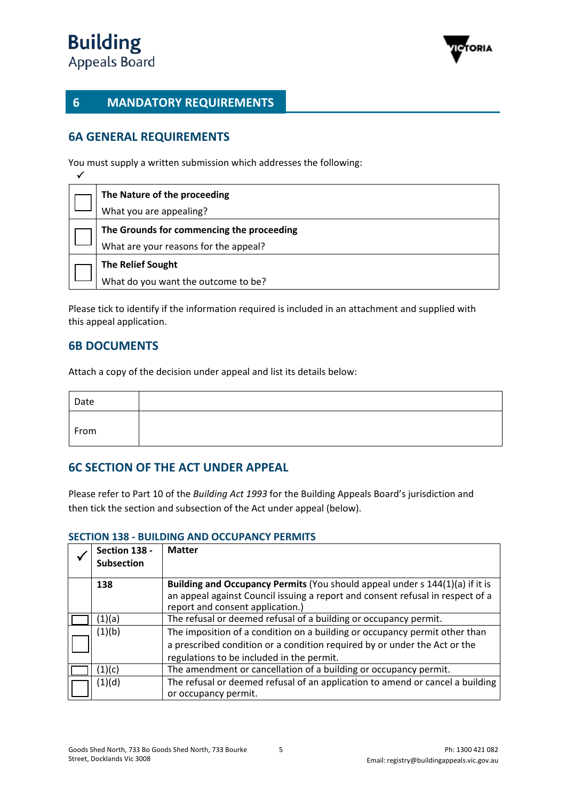

# **6 MANDATORY REQUIREMENTS**

# **6A GENERAL REQUIREMENTS**

You must supply a written submission which addresses the following:

| The Nature of the proceeding              |
|-------------------------------------------|
| What you are appealing?                   |
| The Grounds for commencing the proceeding |
| What are your reasons for the appeal?     |
| <b>The Relief Sought</b>                  |
| What do you want the outcome to be?       |

Please tick to identify if the information required is included in an attachment and supplied with this appeal application.

## **6B DOCUMENTS**

Attach a copy of the decision under appeal and list its details below:

| Date |  |
|------|--|
| From |  |

## **6C SECTION OF THE ACT UNDER APPEAL**

Please refer to Part 10 of the *Building Act 1993* for the Building Appeals Board's jurisdiction and then tick the section and subsection of the Act under appeal (below).

| Section 138 -<br><b>Subsection</b> | <b>Matter</b>                                                                  |
|------------------------------------|--------------------------------------------------------------------------------|
| 138                                | Building and Occupancy Permits (You should appeal under s 144(1)(a) if it is   |
|                                    | an appeal against Council issuing a report and consent refusal in respect of a |
|                                    | report and consent application.)                                               |
| (1)(a)                             | The refusal or deemed refusal of a building or occupancy permit.               |
| (1)(b)                             | The imposition of a condition on a building or occupancy permit other than     |
|                                    | a prescribed condition or a condition required by or under the Act or the      |
|                                    | regulations to be included in the permit.                                      |
| (1)(c)                             | The amendment or cancellation of a building or occupancy permit.               |
| (1)(d)                             | The refusal or deemed refusal of an application to amend or cancel a building  |
|                                    | or occupancy permit.                                                           |

### **SECTION 138 - BUILDING AND OCCUPANCY PERMITS**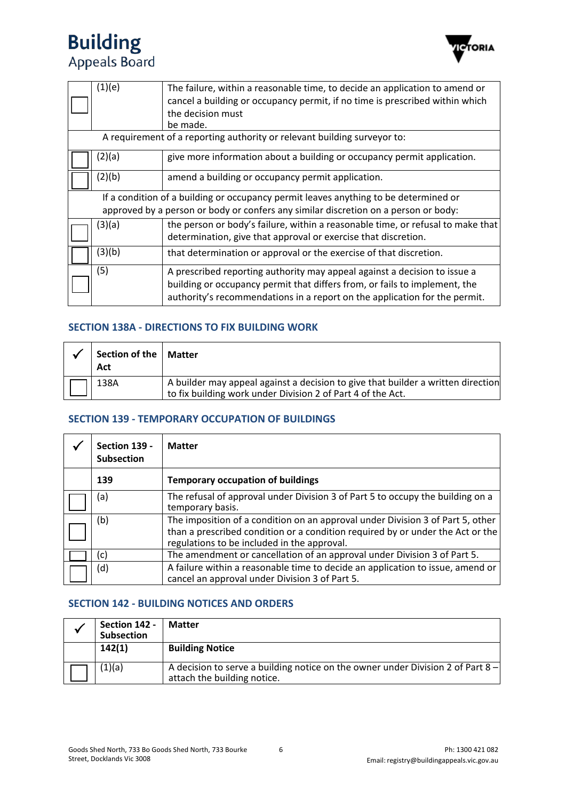

|                                                                          | (1)(e)                                                                               | The failure, within a reasonable time, to decide an application to amend or<br>cancel a building or occupancy permit, if no time is prescribed within which<br>the decision must<br>be made. |  |
|--------------------------------------------------------------------------|--------------------------------------------------------------------------------------|----------------------------------------------------------------------------------------------------------------------------------------------------------------------------------------------|--|
| A requirement of a reporting authority or relevant building surveyor to: |                                                                                      |                                                                                                                                                                                              |  |
|                                                                          | (2)(a)                                                                               | give more information about a building or occupancy permit application.                                                                                                                      |  |
|                                                                          | (2)(b)                                                                               | amend a building or occupancy permit application.                                                                                                                                            |  |
|                                                                          | If a condition of a building or occupancy permit leaves anything to be determined or |                                                                                                                                                                                              |  |
|                                                                          |                                                                                      | approved by a person or body or confers any similar discretion on a person or body:                                                                                                          |  |
|                                                                          | (3)(a)                                                                               | the person or body's failure, within a reasonable time, or refusal to make that                                                                                                              |  |
|                                                                          |                                                                                      | determination, give that approval or exercise that discretion.                                                                                                                               |  |
|                                                                          | (3)(b)                                                                               | that determination or approval or the exercise of that discretion.                                                                                                                           |  |
|                                                                          | (5)                                                                                  | A prescribed reporting authority may appeal against a decision to issue a                                                                                                                    |  |
|                                                                          |                                                                                      | building or occupancy permit that differs from, or fails to implement, the                                                                                                                   |  |
|                                                                          |                                                                                      | authority's recommendations in a report on the application for the permit.                                                                                                                   |  |

### **SECTION 138A - DIRECTIONS TO FIX BUILDING WORK**

| Section of the   Matter<br>Act |                                                                                                                                                 |
|--------------------------------|-------------------------------------------------------------------------------------------------------------------------------------------------|
| 138A                           | A builder may appeal against a decision to give that builder a written direction<br>to fix building work under Division 2 of Part 4 of the Act. |

### **SECTION 139 - TEMPORARY OCCUPATION OF BUILDINGS**

| Section 139 -<br><b>Subsection</b> | <b>Matter</b>                                                                                                                                                                                                   |
|------------------------------------|-----------------------------------------------------------------------------------------------------------------------------------------------------------------------------------------------------------------|
| 139                                | <b>Temporary occupation of buildings</b>                                                                                                                                                                        |
| (a)                                | The refusal of approval under Division 3 of Part 5 to occupy the building on a<br>temporary basis.                                                                                                              |
| (b)                                | The imposition of a condition on an approval under Division 3 of Part 5, other<br>than a prescribed condition or a condition required by or under the Act or the<br>regulations to be included in the approval. |
| (c)                                | The amendment or cancellation of an approval under Division 3 of Part 5.                                                                                                                                        |
| (d)                                | A failure within a reasonable time to decide an application to issue, amend or<br>cancel an approval under Division 3 of Part 5.                                                                                |

### **SECTION 142 - BUILDING NOTICES AND ORDERS**

| Section 142 -<br><b>Subsection</b> | <b>Matter</b>                                                                                                  |
|------------------------------------|----------------------------------------------------------------------------------------------------------------|
| 142(1)                             | <b>Building Notice</b>                                                                                         |
| (1)(a)                             | A decision to serve a building notice on the owner under Division 2 of Part 8 -<br>attach the building notice. |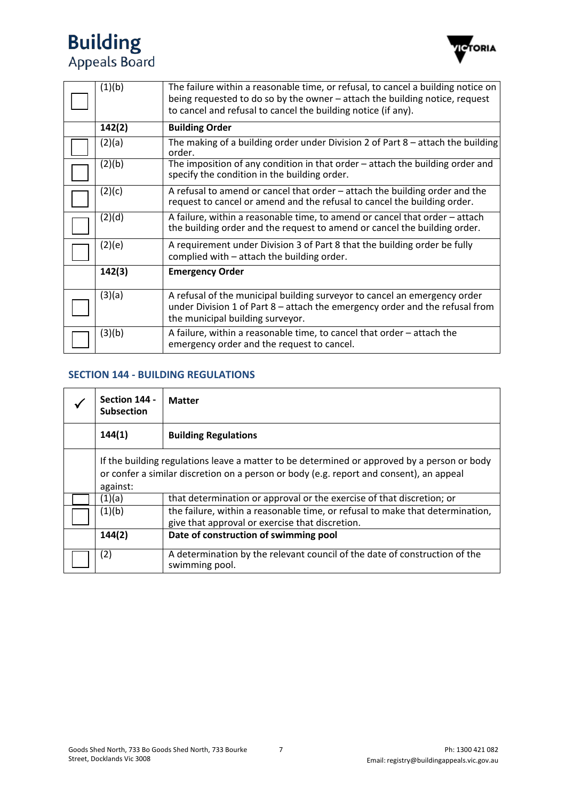

| (1)(b) | The failure within a reasonable time, or refusal, to cancel a building notice on<br>being requested to do so by the owner – attach the building notice, request<br>to cancel and refusal to cancel the building notice (if any). |  |
|--------|----------------------------------------------------------------------------------------------------------------------------------------------------------------------------------------------------------------------------------|--|
| 142(2) | <b>Building Order</b>                                                                                                                                                                                                            |  |
| (2)(a) | The making of a building order under Division 2 of Part $8$ – attach the building<br>order.                                                                                                                                      |  |
| (2)(b) | The imposition of any condition in that order – attach the building order and<br>specify the condition in the building order.                                                                                                    |  |
| (2)(c) | A refusal to amend or cancel that order - attach the building order and the<br>request to cancel or amend and the refusal to cancel the building order.                                                                          |  |
| (2)(d) | A failure, within a reasonable time, to amend or cancel that order – attach<br>the building order and the request to amend or cancel the building order.                                                                         |  |
| (2)(e) | A requirement under Division 3 of Part 8 that the building order be fully<br>complied with - attach the building order.                                                                                                          |  |
| 142(3) | <b>Emergency Order</b>                                                                                                                                                                                                           |  |
| (3)(a) | A refusal of the municipal building surveyor to cancel an emergency order<br>under Division 1 of Part $8$ – attach the emergency order and the refusal from<br>the municipal building surveyor.                                  |  |
| (3)(b) | A failure, within a reasonable time, to cancel that order $-$ attach the<br>emergency order and the request to cancel.                                                                                                           |  |

### **SECTION 144 - BUILDING REGULATIONS**

| Section 144 -<br><b>Subsection</b> | <b>Matter</b>                                                                                                                                                                          |  |
|------------------------------------|----------------------------------------------------------------------------------------------------------------------------------------------------------------------------------------|--|
| 144(1)                             | <b>Building Regulations</b>                                                                                                                                                            |  |
| against:                           | If the building regulations leave a matter to be determined or approved by a person or body<br>or confer a similar discretion on a person or body (e.g. report and consent), an appeal |  |
| (1)(a)                             | that determination or approval or the exercise of that discretion; or                                                                                                                  |  |
| (1)(b)                             | the failure, within a reasonable time, or refusal to make that determination,<br>give that approval or exercise that discretion.                                                       |  |
| 144(2)                             | Date of construction of swimming pool                                                                                                                                                  |  |
| (2)                                | A determination by the relevant council of the date of construction of the<br>swimming pool.                                                                                           |  |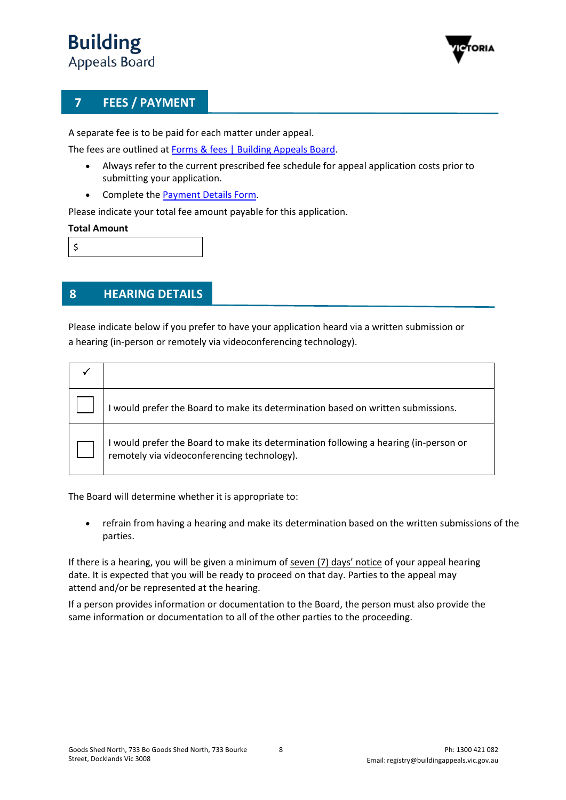

# **7 FEES / PAYMENT**

A separate fee is to be paid for each matter under appeal.

The fees are outlined at [Forms & fees | Building Appeals Board.](https://www.buildingappeals.vic.gov.au/how-to-apply/forms-and-fees)

- Always refer to the current prescribed fee schedule for appeal application costs prior to submitting your application.
- Complete the [Payment Details Form.](https://www.buildingappeals.vic.gov.au/__data/assets/pdf_file/0010/48268/Payment-Form.pdf)

Please indicate your total fee amount payable for this application.

### **Total Amount**

\$

## **8 HEARING DETAILS**

Please indicate below if you prefer to have your application heard via a written submission or a hearing (in-person or remotely via videoconferencing technology).

| would prefer the Board to make its determination based on written submissions.                                                      |
|-------------------------------------------------------------------------------------------------------------------------------------|
| I would prefer the Board to make its determination following a hearing (in-person or<br>remotely via videoconferencing technology). |

The Board will determine whether it is appropriate to:

• refrain from having a hearing and make its determination based on the written submissions of the parties.

If there is a hearing, you will be given a minimum of seven (7) days' notice of your appeal hearing date. It is expected that you will be ready to proceed on that day. Parties to the appeal may attend and/or be represented at the hearing.

If a person provides information or documentation to the Board, the person must also provide the same information or documentation to all of the other parties to the proceeding.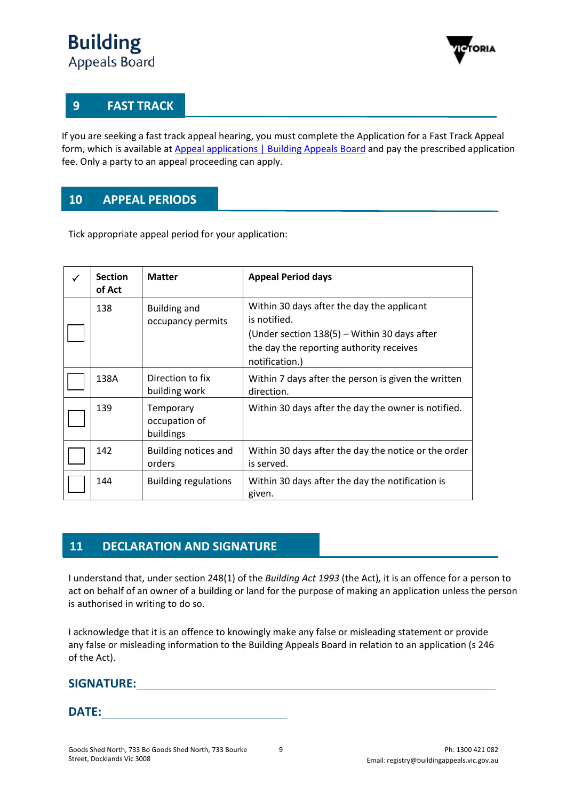

# **9 FAST TRACK**

If you are seeking a fast track appeal hearing, you must complete the Application for a Fast Track Appeal form, which is available at [Appeal applications | Building Appeals Board](https://www.buildingappeals.vic.gov.au/how-to-apply/appeal-applications) and pay the prescribed application fee. Only a party to an appeal proceeding can apply.

# **10 APPEAL PERIODS**

Tick appropriate appeal period for your application:

| ✓ | <b>Section</b><br>of Act | <b>Matter</b>                            | <b>Appeal Period days</b>                                                                                                                                                |
|---|--------------------------|------------------------------------------|--------------------------------------------------------------------------------------------------------------------------------------------------------------------------|
|   | 138                      | <b>Building and</b><br>occupancy permits | Within 30 days after the day the applicant<br>is notified.<br>(Under section 138(5) - Within 30 days after<br>the day the reporting authority receives<br>notification.) |
|   | 138A                     | Direction to fix<br>building work        | Within 7 days after the person is given the written<br>direction.                                                                                                        |
|   | 139                      | Temporary<br>occupation of<br>buildings  | Within 30 days after the day the owner is notified.                                                                                                                      |
|   | 142                      | Building notices and<br>orders           | Within 30 days after the day the notice or the order<br>is served.                                                                                                       |
|   | 144                      | <b>Building regulations</b>              | Within 30 days after the day the notification is<br>given.                                                                                                               |

## **11 DECLARATION AND SIGNATURE**

I understand that, under section 248(1) of the *Building Act 1993* (the Act)*,* it is an offence for a person to act on behalf of an owner of a building or land for the purpose of making an application unless the person is authorised in writing to do so.

I acknowledge that it is an offence to knowingly make any false or misleading statement or provide any false or misleading information to the Building Appeals Board in relation to an application (s 246 of the Act).

## **SIGNATURE:**

**DATE:**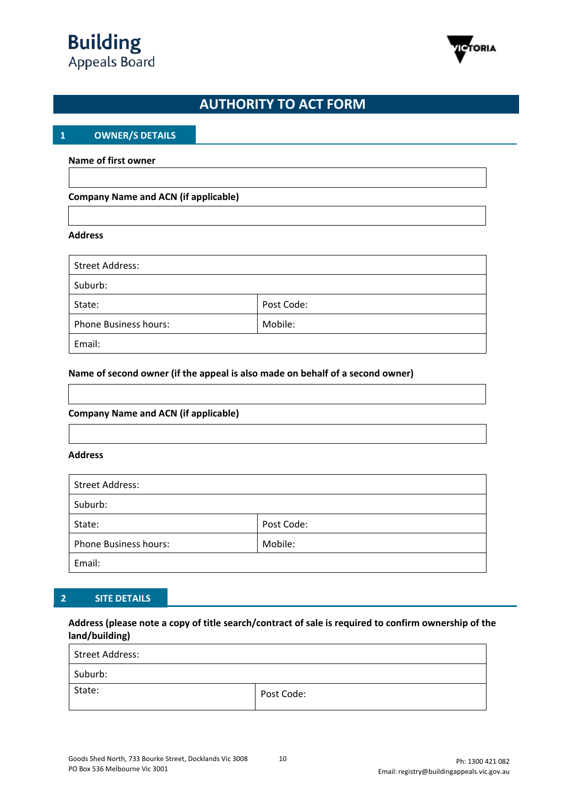



# **AUTHORITY TO ACT FORM**

### **1 OWNER/S DETAILS**

#### **Name of first owner**

### **Company Name and ACN (if applicable)**

#### **Address**

| <b>Street Address:</b>       |            |  |
|------------------------------|------------|--|
| Suburb:                      |            |  |
| State:                       | Post Code: |  |
| <b>Phone Business hours:</b> | Mobile:    |  |
| Email:                       |            |  |

#### **Name of second owner (if the appeal is also made on behalf of a second owner)**

### **Company Name and ACN (if applicable)**

#### **Address**

| <b>Street Address:</b>       |            |  |
|------------------------------|------------|--|
| Suburb:                      |            |  |
| State:                       | Post Code: |  |
| <b>Phone Business hours:</b> | Mobile:    |  |
| Email:                       |            |  |

### **2 SITE DETAILS**

### **Address (please note a copy of title search/contract of sale is required to confirm ownership of the land/building)**

| Street Address: |            |
|-----------------|------------|
| Suburb:         |            |
| State:          | Post Code: |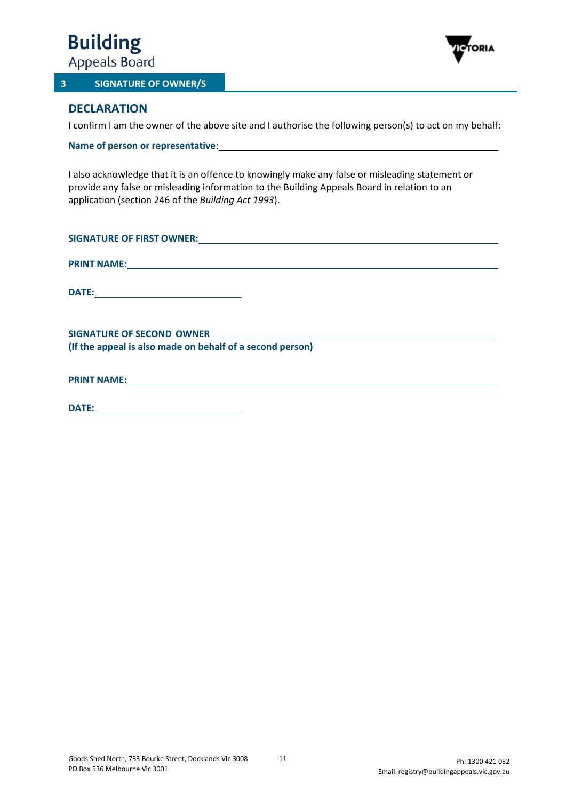

#### **3 SIGNATURE OF OWNER/S**



### **DECLARATION**

I confirm I am the owner of the above site and I authorise the following person(s) to act on my behalf:

**Name of person or representative**:

I also acknowledge that it is an offence to knowingly make any false or misleading statement or provide any false or misleading information to the Building Appeals Board in relation to an application (section 246 of the *Building Act 1993*).

| SIGNATURE OF FIRST OWNER: New York State State State State State State State State State State State State State State State State State State State State State State State State State State State State State State State S |
|--------------------------------------------------------------------------------------------------------------------------------------------------------------------------------------------------------------------------------|
|                                                                                                                                                                                                                                |
| <b>PRINT NAME:</b><br><u> 1989 - Johann Stein, marwolaethau a bhann an t-Amhain an t-Amhain an t-Amhain an t-Amhain an t-Amhain an t-A</u>                                                                                     |
|                                                                                                                                                                                                                                |
| <b>DATE:</b><br><u> 1989 - Andrea Station, amerikansk politik (</u>                                                                                                                                                            |
|                                                                                                                                                                                                                                |
|                                                                                                                                                                                                                                |
|                                                                                                                                                                                                                                |
| (If the appeal is also made on behalf of a second person)                                                                                                                                                                      |
|                                                                                                                                                                                                                                |
|                                                                                                                                                                                                                                |
|                                                                                                                                                                                                                                |

**DATE:**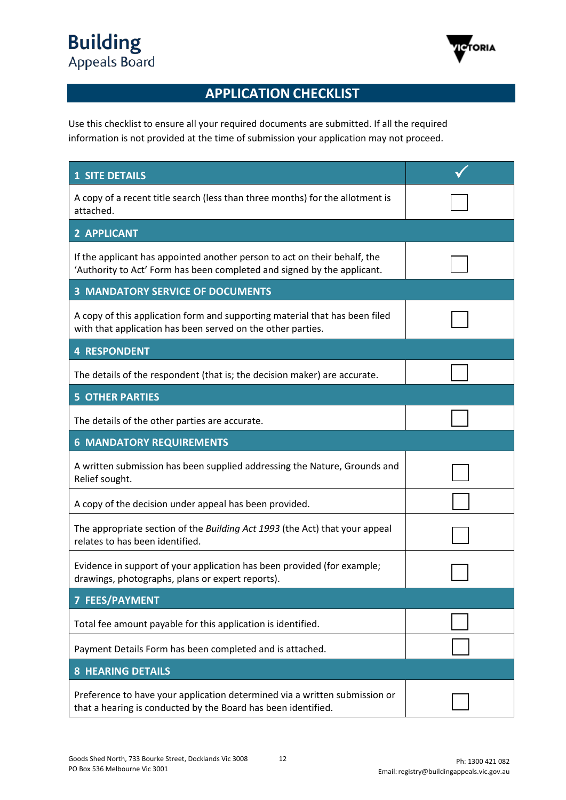

# **APPLICATION CHECKLIST**

Use this checklist to ensure all your required documents are submitted. If all the required information is not provided at the time of submission your application may not proceed.

| <b>1 SITE DETAILS</b>                                                                                                                                |  |
|------------------------------------------------------------------------------------------------------------------------------------------------------|--|
| A copy of a recent title search (less than three months) for the allotment is<br>attached.                                                           |  |
| 2 APPLICANT                                                                                                                                          |  |
| If the applicant has appointed another person to act on their behalf, the<br>'Authority to Act' Form has been completed and signed by the applicant. |  |
| <b>3 MANDATORY SERVICE OF DOCUMENTS</b>                                                                                                              |  |
| A copy of this application form and supporting material that has been filed<br>with that application has been served on the other parties.           |  |
| <b>4 RESPONDENT</b>                                                                                                                                  |  |
| The details of the respondent (that is; the decision maker) are accurate.                                                                            |  |
| <b>5 OTHER PARTIES</b>                                                                                                                               |  |
| The details of the other parties are accurate.                                                                                                       |  |
| <b>6 MANDATORY REQUIREMENTS</b>                                                                                                                      |  |
| A written submission has been supplied addressing the Nature, Grounds and<br>Relief sought.                                                          |  |
| A copy of the decision under appeal has been provided.                                                                                               |  |
| The appropriate section of the Building Act 1993 (the Act) that your appeal<br>relates to has been identified.                                       |  |
| Evidence in support of your application has been provided (for example;<br>drawings, photographs, plans or expert reports).                          |  |
| <b>7 FEES/PAYMENT</b>                                                                                                                                |  |
| Total fee amount payable for this application is identified.                                                                                         |  |
| Payment Details Form has been completed and is attached.                                                                                             |  |
| <b>8 HEARING DETAILS</b>                                                                                                                             |  |
| Preference to have your application determined via a written submission or<br>that a hearing is conducted by the Board has been identified.          |  |